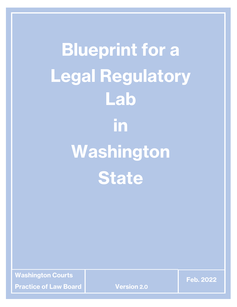**Blueprint for a Legal Regulatory Lab in Washington State**

**Washington Courts**

**Practice of Law Board Version 2.0**

**Feb. 2022**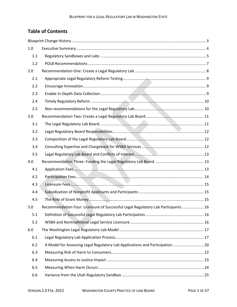# **Table of Contents**

| 1.0 |                                                                                   |  |
|-----|-----------------------------------------------------------------------------------|--|
| 1.1 |                                                                                   |  |
| 1.2 |                                                                                   |  |
| 2.0 |                                                                                   |  |
| 2.1 |                                                                                   |  |
| 2.2 |                                                                                   |  |
| 2.3 |                                                                                   |  |
| 2.4 |                                                                                   |  |
| 2.5 |                                                                                   |  |
| 3.0 |                                                                                   |  |
| 3.1 |                                                                                   |  |
| 3.2 |                                                                                   |  |
| 3.3 |                                                                                   |  |
| 3.4 |                                                                                   |  |
| 3.5 |                                                                                   |  |
| 4.0 |                                                                                   |  |
| 4.1 |                                                                                   |  |
| 4.2 |                                                                                   |  |
| 4.3 |                                                                                   |  |
| 4.4 |                                                                                   |  |
| 4.5 |                                                                                   |  |
| 5.0 | Recommendation Four: Licensure of Successful Legal Regulatory Lab Participants 16 |  |
| 5.1 |                                                                                   |  |
| 5.2 |                                                                                   |  |
| 6.0 |                                                                                   |  |
| 6.1 |                                                                                   |  |
| 6.2 | A Model for Assessing Legal Regulatory Lab Applications and Participation  20     |  |
| 6.3 |                                                                                   |  |
| 6.4 |                                                                                   |  |
| 6.5 |                                                                                   |  |
| 6.6 |                                                                                   |  |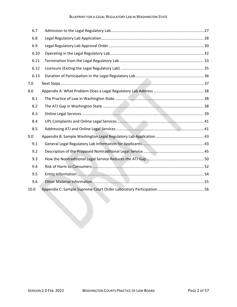#### BLUEPRINT FOR A LEGAL REGULATORY LAB IN WASHINGTON STATE

| 6.7  |  |
|------|--|
| 6.8  |  |
| 6.9  |  |
| 6.10 |  |
| 6.11 |  |
| 6.12 |  |
| 6.13 |  |
| 7.0  |  |
| 8.0  |  |
| 8.1  |  |
| 8.2  |  |
| 8.3  |  |
| 8.4  |  |
| 8.5  |  |
| 9.0  |  |
| 9.1  |  |
| 9.2  |  |
| 9.3  |  |
| 9.4  |  |
| 9.5  |  |
| 9.6  |  |
| 10.0 |  |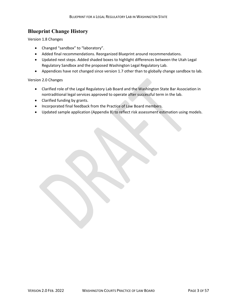# <span id="page-3-0"></span>**Blueprint Change History**

Version 1.8 Changes

- Changed "sandbox" to "laboratory".
- Added final recommendations. Reorganized Blueprint around recommendations.
- Updated next steps. Added shaded boxes to highlight differences between the Utah Legal Regulatory Sandbox and the proposed Washington Legal Regulatory Lab.
- Appendices have not changed since version 1.7 other than to globally change sandbox to lab.

#### Version 2.0 Changes

- Clarified role of the Legal Regulatory Lab Board and the Washington State Bar Association in nontraditional legal services approved to operate after successful term in the lab.
- Clarified funding by grants.
- Incorporated final feedback from the Practice of Law Board members.
- Updated sample application (Appendix B) to reflect risk assessment estimation using models.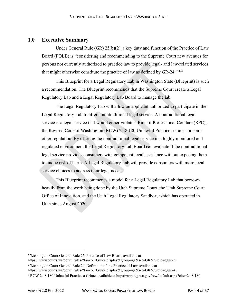## <span id="page-4-0"></span>**1.0 Executive Summary**

Under General Rule (GR) 25(b)(2), a key duty and function of the Practice of Law Board (POLB) is "considering and recommending to the Supreme Court new avenues for persons not currently authorized to practice law to provide legal- and law-related services that might otherwise constitute the practice of law as defined by GR-[2](#page-4-2)4."  $^{1,2}$  $^{1,2}$  $^{1,2}$ 

This Blueprint for a Legal Regulatory Lab in Washington State (Blueprint) is such a recommendation. The Blueprint recommends that the Supreme Court create a Legal Regulatory Lab and a Legal Regulatory Lab Board to manage the lab.

The Legal Regulatory Lab will allow an applicant authorized to participate in the Legal Regulatory Lab to offer a nontraditional legal service. A nontraditional legal service is a legal service that would either violate a Rule of Professional Conduct (RPC), the Revised Code of Washington (RCW) 2.48.180 Unlawful Practice statute,<sup>[3](#page-4-3)</sup> or some other regulation. By offering the nontraditional legal service in a highly monitored and regulated environment the Legal Regulatory Lab Board can evaluate if the nontraditional legal service provides consumers with competent legal assistance without exposing them to undue risk of harm. A Legal Regulatory Lab will provide consumers with more legal service choices to address their legal needs.

This Blueprint recommends a model for a Legal Regulatory Lab that borrows heavily from the work being done by the Utah Supreme Court, the Utah Supreme Court Office of Innovation, and the Utah Legal Regulatory Sandbox, which has operated in Utah since August 2020.

<span id="page-4-1"></span><sup>&</sup>lt;sup>1</sup> Washington Court General Rule 25, Practice of Law Board, available at

https://www.courts.wa/court\_rules/?fa=court.rules.display&group=ga&set=GR&ruleid=gagr25.

<span id="page-4-2"></span><sup>2</sup> Washington Court General Rule 24, Definition of the Practice of Law, available at

https://www.courts.wa/court\_rules/?fa=court.rules.display&group=ga&set=GR&ruleid=gagr24.

<span id="page-4-3"></span><sup>3</sup> RCW 2.48.180 Unlawful Practice a Crime, available at https://app.leg.wa.gov/rcw/default.aspx?cite=2.48.180.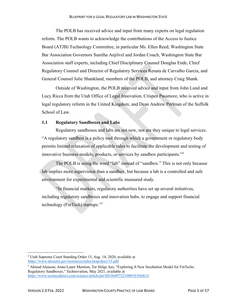The POLB has received advice and input from many experts on legal regulation reform. The POLB wants to acknowledge the contributions of the Access to Justice Board (ATJB) Technology Committee, in particular Ms. Ellen Reed, Washington State Bar Association Governors Sunitha Anjilvel and Jordan Couch, Washington State Bar Association staff experts, including Chief Disciplinary Counsel Douglas Ende, Chief Regulatory Counsel and Director of Regulatory Services Renata de Carvalho Garcia, and General Counsel Julie Shankland, members of the POLB, and attorney Craig Shank.

Outside of Washington, the POLB received advice and input from John Lund and Lucy Ricca from the Utah Office of Legal Innovation, Crispen Passmore, who is active in legal regulatory reform in the United Kingdom, and Dean Andrew Perlman of the Suffolk School of Law.

#### <span id="page-5-0"></span>**1.1 Regulatory Sandboxes and Labs**

Regulatory sandboxes and labs are not new, nor are they unique to legal services. "A regulatory sandbox is a policy tool through which a government or regulatory body permits limited relaxation of applicable rules to facilitate the development and testing of innovative business models, products, or services by sandbox participants."[4](#page-5-1)

The POLB is using the word "lab" instead of "sandbox." This is not only because lab implies more supervision than a sandbox, but because a lab is a controlled and safe environment for experimental and scientific measured study.

"In financial markets, regulatory authorities have set up several initiatives, including regulatory sandboxes and innovation hubs, to engage and support financial technology (FinTech) startups."[5](#page-5-2)

<span id="page-5-1"></span><sup>4</sup> Utah Supreme Court Standing Order 15, Aug. 14, 2020, available at [https://www.utcourts.gov/resources/rules/urap/docs/15.pdf.](https://www.utcourts.gov/resources/rules/urap/docs/15.pdf)

<span id="page-5-2"></span><sup>5</sup> Ahmad Alaassar, Anne-Laure Mention, Tor Helge Aas, "Exploring A New Incubation Model for FinTechs: Regulatory Sandboxes," Technovation, May 2021, available at [https://www.sciencedirect.com/science/article/pii/S0166497221000183#bib15.](https://www.sciencedirect.com/science/article/pii/S0166497221000183#bib15)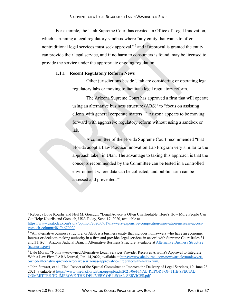For example, the Utah Supreme Court has created an Office of Legal Innovation, which is running a legal regulatory sandbox where "any entity that wants to offer nontraditional legal services must seek approval,"<sup>[6](#page-6-0)</sup> and if approval is granted the entity can provide their legal service, and if no harm to consumers is found, may be licensed to provide the service under the appropriate ongoing regulation.

#### **1.1.1 Recent Regulatory Reform News**

Other jurisdictions beside Utah are considering or operating legal regulatory labs or moving to facilitate legal regulatory reform.

The Arizona Supreme Court has approved a firm that will operate using an alternative business structure  $(ABS)^7$  $(ABS)^7$  to "focus on assisting clients with general corporate matters."[8](#page-6-2) Arizona appears to be moving forward with aggressive regulatory reform without using a sandbox or lab.

A committee of the Florida Supreme Court recommended "that Florida adopt a Law Practice Innovation Lab Program very similar to the approach taken in Utah. The advantage to taking this approach is that the concepts recommended by the Committee can be tested in a controlled environment where data can be collected, and public harm can be assessed and prevented."[9](#page-6-3)

<span id="page-6-0"></span><sup>6</sup> Rebecca Love Kourlis and Neil M. Gorsuch, "Legal Advice is Often Unaffordable. Here's How More People Can Get Help: Kourlis and Gorsuch, USA Today, Sept. 17, 2020, available at

[https://www.usatoday.com/story/opinion/2020/09/17/lawyers-expensive-competition-innovation-increase-access](https://www.usatoday.com/story/opinion/2020/09/17/lawyers-expensive-competition-innovation-increase-access-gorsuch-column/5817467002/)[gorsuch-column/5817467002/.](https://www.usatoday.com/story/opinion/2020/09/17/lawyers-expensive-competition-innovation-increase-access-gorsuch-column/5817467002/)

<span id="page-6-1"></span><sup>&</sup>lt;sup>7</sup> "An alternative business structure, or ABS, is a business entity that includes nonlawyers who have an economic interest or decision-making authority in a firm and provides legal services in accord with Supreme Court Rules 31 and 31.1(c)." Arizona Judicial Branch, Alternative Business Structure, available a[t Alternative Business Structure](https://www.azcourts.gov/Licensing-Regulation/Alternative-Business-Structure)  [\(azcourts.gov\)](https://www.azcourts.gov/Licensing-Regulation/Alternative-Business-Structure)

<span id="page-6-2"></span><sup>8</sup> Lyle Moran, "Nonlawyer-owned Alternative Legal Services Provider Receives Arizona's Approval to Integrate With a Law Firm," ABA Journal, Jan. 14,2022, available at [https://www.abajournal.com/news/article/nonlawyer](https://www.abajournal.com/news/article/nonlawyer-owned-alternative-provider-receives-arizonas-approval-to-integrate-with-a-law-firm)[owned-alternative-provider-receives-arizonas-approval-to-integrate-with-a-law-firm.](https://www.abajournal.com/news/article/nonlawyer-owned-alternative-provider-receives-arizonas-approval-to-integrate-with-a-law-firm)

<span id="page-6-3"></span><sup>9</sup> John Stewart, et.al., Final Report of the Special Committee to Improve the Delivery of Legal Services, 19, June 28, 2021, available at [https://www-media.floridabar.org/uploads/2021/06/FINAL-REPORT-OF-THE-SPECIAL-](https://www-media.floridabar.org/uploads/2021/06/FINAL-REPORT-OF-THE-SPECIAL-COMMITTEE-TO-IMPROVE-THE-DELIVERY-OF-LEGAL-SERVICES.pdf)[COMMITTEE-TO-IMPROVE-THE-DELIVERY-OF-LEGAL-SERVICES.pdf](https://www-media.floridabar.org/uploads/2021/06/FINAL-REPORT-OF-THE-SPECIAL-COMMITTEE-TO-IMPROVE-THE-DELIVERY-OF-LEGAL-SERVICES.pdf)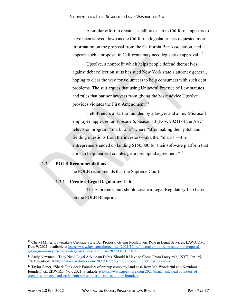A similar effort to create a sandbox or lab in California appears to have been slowed down as the California legislature has requested more information on the proposal from the California Bar Association, and it appears such a proposal in California may need legislative approval.  $^{10}$  $^{10}$  $^{10}$ 

Upsolve, a nonprofit which helps people defend themselves against debt collection suits has sued New York state's attorney general, hoping to clear the way for volunteers to help consumers with such debt problems. The suit argues that using Unlawful Practice of Law statutes and rules that bar nonlawyers from giving the basic advice Upsolve provides violates the First Amendment.<sup>[11](#page-7-2)</sup>

HelloPrenup, a startup founded by a lawyer and an ex-Microsoft employee, appeared on Episode 6, Season 13 (Nov. 2021) of the ABC television program "SharkTank" where "after making their pitch and fielding questions from the investors—aka the "Sharks"—the entrepreneurs ended up landing \$150,000 for their software platform that aims to help married couples get a prenuptial agreement."<sup>[12](#page-7-3)</sup>

#### <span id="page-7-0"></span>**1.2 POLB Recommendations**

The POLB recommends that the Supreme Court:

## **1.2.1 Create a Legal Regulatory Lab**

The Supreme Court should create a Legal Regulatory Lab based on the POLB Blueprint.

<span id="page-7-1"></span><sup>&</sup>lt;sup>10</sup> Cheryl Miller, Lawmakers Criticize State Bar Proposal Giving Nonlawyers Role in Legal Services, LAW.COM, Dec. 9, 2021, available at [https://www.law.com/therecorder/2021/12/09/lawmakers-criticize-state-bar-proposal](https://www.law.com/therecorder/2021/12/09/lawmakers-criticize-state-bar-proposal-giving-non-lawyers-role-in-legal-services/?slreturn=20220013133102)[giving-non-lawyers-role-in-legal-services/?slreturn=20220013133102](https://www.law.com/therecorder/2021/12/09/lawmakers-criticize-state-bar-proposal-giving-non-lawyers-role-in-legal-services/?slreturn=20220013133102)

<span id="page-7-2"></span><sup>&</sup>lt;sup>11</sup> Andy Newman, "They Need Legal Advice on Debts. Should It Have to Come From Lawyers?," NYT, Jan. 25, 2021 available at [https://www.nytimes.com/2022/01/25/nyregion/consumer-debt-legal-advice.html.](https://www.nytimes.com/2022/01/25/nyregion/consumer-debt-legal-advice.html)

<span id="page-7-3"></span><sup>&</sup>lt;sup>12</sup> Taylor Soper, "Shark Tank deal: Founders of prenup company land cash from Mr. Wonderful and Nextdoor founder," GEEKWIRE, Nov. 2021, available at [https://www.geekwire.com/2021/shark-tank-deal-founders-of](https://www.geekwire.com/2021/shark-tank-deal-founders-of-prenup-company-land-cash-from-mr-wonderful-and-nextdoor-founder/)[prenup-company-land-cash-from-mr-wonderful-and-nextdoor-founder/.](https://www.geekwire.com/2021/shark-tank-deal-founders-of-prenup-company-land-cash-from-mr-wonderful-and-nextdoor-founder/)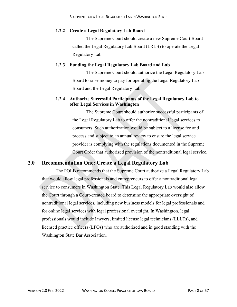#### **1.2.2 Create a Legal Regulatory Lab Board**

The Supreme Court should create a new Supreme Court Board called the Legal Regulatory Lab Board (LRLB) to operate the Legal Regulatory Lab.

#### **1.2.3 Funding the Legal Regulatory Lab Board and Lab**

The Supreme Court should authorize the Legal Regulatory Lab Board to raise money to pay for operating the Legal Regulatory Lab Board and the Legal Regulatory Lab.

## **1.2.4 Authorize Successful Participants of the Legal Regulatory Lab to offer Legal Services in Washington**

The Supreme Court should authorize successful participants of the Legal Regulatory Lab to offer the nontraditional legal services to consumers. Such authorization would be subject to a license fee and process and subject to an annual review to ensure the legal service provider is complying with the regulations documented in the Supreme Court Order that authorized provision of the nontraditional legal service.

# <span id="page-8-0"></span>**2.0 Recommendation One: Create a Legal Regulatory Lab**

The POLB recommends that the Supreme Court authorize a Legal Regulatory Lab that would allow legal professionals and entrepreneurs to offer a nontraditional legal service to consumers in Washington State. This Legal Regulatory Lab would also allow the Court through a Court-created board to determine the appropriate oversight of nontraditional legal services, including new business models for legal professionals and for online legal services with legal professional oversight. In Washington, legal professionals would include lawyers, limited license legal technicians (LLLTs), and licensed practice officers (LPOs) who are authorized and in good standing with the Washington State Bar Association.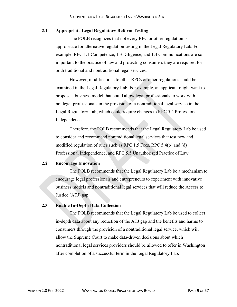#### <span id="page-9-0"></span>**2.1 Appropriate Legal Regulatory Reform Testing**

The POLB recognizes that not every RPC or other regulation is appropriate for alternative regulation testing in the Legal Regulatory Lab. For example, RPC 1.1 Competence, 1.3 Diligence, and 1.4 Communications are so important to the practice of law and protecting consumers they are required for both traditional and nontraditional legal services.

However, modifications to other RPCs or other regulations could be examined in the Legal Regulatory Lab. For example, an applicant might want to propose a business model that could allow legal professionals to work with nonlegal professionals in the provision of a nontraditional legal service in the Legal Regulatory Lab, which could require changes to RPC 5.4 Professional Independence.

Therefore, the POLB recommends that the Legal Regulatory Lab be used to consider and recommend nontraditional legal services that test new and modified regulation of rules such as RPC 1.5 Fees, RPC 5.4(b) and (d) Professional Independence, and RPC 5.5 Unauthorized Practice of Law.

#### <span id="page-9-1"></span>**2.2 Encourage Innovation**

The POLB recommends that the Legal Regulatory Lab be a mechanism to encourage legal professionals and entrepreneurs to experiment with innovative business models and nontraditional legal services that will reduce the Access to Justice (ATJ) gap.

#### <span id="page-9-2"></span>**2.3 Enable In-Depth Data Collection**

The POLB recommends that the Legal Regulatory Lab be used to collect in-depth data about any reduction of the ATJ gap and the benefits and harms to consumers through the provision of a nontraditional legal service, which will allow the Supreme Court to make data-driven decisions about which nontraditional legal services providers should be allowed to offer in Washington after completion of a successful term in the Legal Regulatory Lab.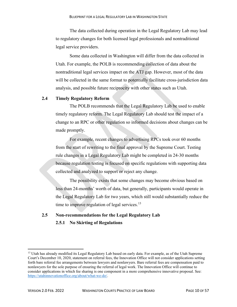The data collected during operation in the Legal Regulatory Lab may lead to regulatory changes for both licensed legal professionals and nontraditional legal service providers.

Some data collected in Washington will differ from the data collected in Utah. For example, the POLB is recommending collection of data about the nontraditional legal services impact on the ATJ gap. However, most of the data will be collected in the same format to potentially facilitate cross-jurisdiction data analysis, and possible future reciprocity with other states such as Utah.

#### <span id="page-10-0"></span>**2.4 Timely Regulatory Reform**

The POLB recommends that the Legal Regulatory Lab be used to enable timely regulatory reform. The Legal Regulatory Lab should test the impact of a change to an RPC or other regulation so informed decisions about changes can be made promptly.

For example, recent changes to advertising RPCs took over 60 months from the start of rewriting to the final approval by the Supreme Court. Testing rule changes in a Legal Regulatory Lab might be completed in 24-30 months because regulation testing is focused on specific regulations with supporting data collected and analyzed to support or reject any change.

The possibility exists that some changes may become obvious based on less than 24-months' worth of data, but generally, participants would operate in the Legal Regulatory Lab for two years, which still would substantially reduce the time to improve regulation of legal services.<sup>[13](#page-10-2)</sup>

# <span id="page-10-1"></span>**2.5 Non-recommendations for the Legal Regulatory Lab 2.5.1 No Skirting of Regulations**

<span id="page-10-2"></span><sup>&</sup>lt;sup>13</sup> Utah has already modified its Legal Regulatory Lab based on early data. For example, as of the Utah Supreme Court's December 10, 2020, statement on referral fees, the Innovation Office will not consider applications setting forth bare referral fee arrangements between lawyers and nonlawyers. Bare referral fees are compensation paid to nonlawyers for the sole purpose of ensuring the referral of legal work. The Innovation Office will continue to consider applications in which fee sharing is one component in a more comprehensive innovative proposal. See: [https://utahinnovationoffice.org/about/what-we-do/.](https://utahinnovationoffice.org/about/what-we-do/)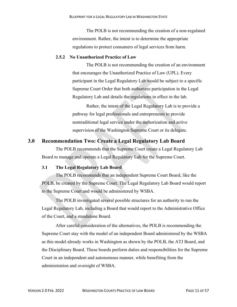The POLB is not recommending the creation of a non-regulated environment. Rather, the intent is to determine the appropriate regulations to protect consumers of legal services from harm.

#### **2.5.2 No Unauthorized Practice of Law**

The POLB is not recommending the creation of an environment that encourages the Unauthorized Practice of Law (UPL). Every participant in the Legal Regulatory Lab would be subject to a specific Supreme Court Order that both authorizes participation in the Legal Regulatory Lab and details the regulations in effect in the lab.

Rather, the intent of the Legal Regulatory Lab is to provide a pathway for legal professionals and entrepreneurs to provide nontraditional legal service under the authorization and active supervision of the Washington Supreme Court or its delegate.

## <span id="page-11-0"></span>**3.0 Recommendation Two: Create a Legal Regulatory Lab Board**

The POLB recommends that the Supreme Court create a Legal Regulatory Lab Board to manage and operate a Legal Regulatory Lab for the Supreme Court.

#### <span id="page-11-1"></span>**3.1 The Legal Regulatory Lab Board**

The POLB recommends that an independent Supreme Court Board, like the POLB, be created by the Supreme Court. The Legal Regulatory Lab Board would report to the Supreme Court and would be administered by WSBA.

The POLB investigated several possible structures for an authority to run the Legal Regulatory Lab, including a Board that would report to the Administrative Office of the Court, and a standalone Board.

After careful consideration of the alternatives, the POLB is recommending the Supreme Court stay with the model of an independent Board administered by the WSBA as this model already works in Washington as shown by the POLB, the ATJ Board, and the Disciplinary Board. These boards perform duties and responsibilities for the Supreme Court in an independent and autonomous manner, while benefiting from the administration and oversight of WSBA.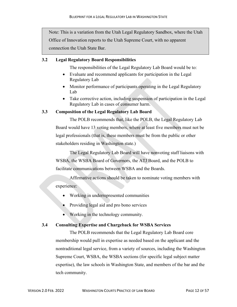Note: This is a variation from the Utah Legal Regulatory Sandbox, where the Utah Office of Innovation reports to the Utah Supreme Court, with no apparent connection the Utah State Bar.

#### <span id="page-12-0"></span>**3.2 Legal Regulatory Board Responsibilities**

The responsibilities of the Legal Regulatory Lab Board would be to:

- Evaluate and recommend applicants for participation in the Legal Regulatory Lab
- Monitor performance of participants operating in the Legal Regulatory Lab
- Take corrective action, including suspension of participation in the Legal Regulatory Lab in cases of consumer harm.

#### <span id="page-12-1"></span>**3.3 Composition of the Legal Regulatory Lab Board**

The POLB recommends that, like the POLB, the Legal Regulatory Lab Board would have 13 voting members, where at least five members must not be legal professionals (that is, these members must be from the public or other stakeholders residing in Washington state.)

The Legal Regulatory Lab Board will have nonvoting staff liaisons with WSBA, the WSBA Board of Governors, the ATJ Board, and the POLB to facilitate communications between WSBA and the Boards.

Affirmative actions should be taken to nominate voting members with experience:

- Working in underrepresented communities
- Providing legal aid and pro bono services
- Working in the technology community.

#### <span id="page-12-2"></span>**3.4 Consulting Expertise and Chargeback for WSBA Services**

The POLB recommends that the Legal Regulatory Lab Board core membership would pull in expertise as needed based on the applicant and the nontraditional legal service, from a variety of sources, including the Washington Supreme Court, WSBA, the WSBA sections (for specific legal subject matter expertise), the law schools in Washington State, and members of the bar and the tech community.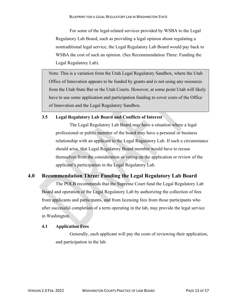For some of the legal-related services provided by WSBA to the Legal Regulatory Lab Board, such as providing a legal opinion about regulating a nontraditional legal service, the Legal Regulatory Lab Board would pay back to WSBA the cost of such an opinion. (See Recommendation Three: Funding the Legal Regulatory Lab).

Note: This is a variation from the Utah Legal Regulatory Sandbox, where the Utah Office of Innovation appears to be funded by grants and is not using any resources from the Utah State Bar or the Utah Courts. However, at some point Utah will likely have to use some application and participation funding to cover costs of the Office of Innovation and the Legal Regulatory Sandbox.

#### <span id="page-13-0"></span>**3.5 Legal Regulatory Lab Board and Conflicts of Interest**

The Legal Regulatory Lab Board may have a situation where a legal professional or public member of the board may have a personal or business relationship with an applicant to the Legal Regulatory Lab. If such a circumstance should arise, that Legal Regulatory Board member would have to recuse themselves from the consideration or voting on the application or review of the applicant's participation in the Legal Regulatory Lab.

# <span id="page-13-1"></span>**4.0 Recommendation Three: Funding the Legal Regulatory Lab Board**

The POLB recommends that the Supreme Court fund the Legal Regulatory Lab Board and operation of the Legal Regulatory Lab by authorizing the collection of fees from applicants and participants, and from licensing fees from those participants who after successful completion of a term operating in the lab, may provide the legal service in Washington.

#### <span id="page-13-2"></span>**4.1 Application Fees**

Generally, each applicant will pay the costs of reviewing their application, and participation in the lab.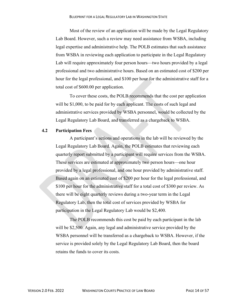Most of the review of an application will be made by the Legal Regulatory Lab Board. However, such a review may need assistance from WSBA, including legal expertise and administrative help. The POLB estimates that such assistance from WSBA in reviewing each application to participate in the Legal Regulatory Lab will require approximately four person hours—two hours provided by a legal professional and two administrative hours. Based on an estimated cost of \$200 per hour for the legal professional, and \$100 per hour for the administrative staff for a total cost of \$600.00 per application.

To cover these costs, the POLB recommends that the cost per application will be \$1,000, to be paid for by each applicant. The costs of such legal and administrative services provided by WSBA personnel, would be collected by the Legal Regulatory Lab Board, and transferred as a chargeback to WSBA.

#### <span id="page-14-0"></span>**4.2 Participation Fees**

A participant's actions and operations in the lab will be reviewed by the Legal Regulatory Lab Board. Again, the POLB estimates that reviewing each quarterly report submitted by a participant will require services from the WSBA. These services are estimated at approximately two person hours—one hour provided by a legal professional, and one hour provided by administrative staff. Based again on an estimated cost of \$200 per hour for the legal professional, and \$100 per hour for the administrative staff for a total cost of \$300 per review. As there will be eight quarterly reviews during a two-year term in the Legal Regulatory Lab, then the total cost of services provided by WSBA for participation in the Legal Regulatory Lab would be \$2,400.

The POLB recommends this cost be paid by each participant in the lab will be \$2,500. Again, any legal and administrative service provided by the WSBA personnel will be transferred as a chargeback to WSBA. However, if the service is provided solely by the Legal Regulatory Lab Board, then the board retains the funds to cover its costs.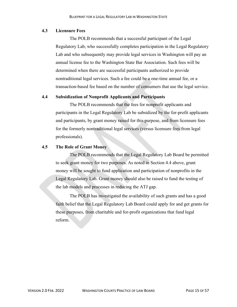#### <span id="page-15-0"></span>**4.3 Licensure Fees**

The POLB recommends that a successful participant of the Legal Regulatory Lab, who successfully completes participation in the Legal Regulatory Lab and who subsequently may provide legal services in Washington will pay an annual license fee to the Washington State Bar Association. Such fees will be determined when there are successful participants authorized to provide nontraditional legal services. Such a fee could be a one-time annual fee, or a transaction-based fee based on the number of consumers that use the legal service.

#### <span id="page-15-1"></span>**4.4 Subsidization of Nonprofit Applicants and Participants**

The POLB recommends that the fees for nonprofit applicants and participants in the Legal Regulatory Lab be subsidized by the for-profit applicants and participants, by grant money raised for this purpose, and from licensure fees for the formerly nontraditional legal services (versus licensure fees from legal professionals).

#### <span id="page-15-2"></span>**4.5 The Role of Grant Money**

The POLB recommends that the Legal Regulatory Lab Board be permitted to seek grant money for two purposes. As noted in Section 4.4 above, grant money will be sought to fund application and participation of nonprofits in the Legal Regulatory Lab. Grant money should also be raised to fund the testing of the lab models and processes in reducing the ATJ gap.

The POLB has investigated the availability of such grants and has a good faith belief that the Legal Regulatory Lab Board could apply for and get grants for these purposes, from charitable and for-profit organizations that fund legal reform.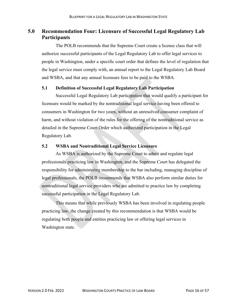# <span id="page-16-0"></span>**5.0 Recommendation Four: Licensure of Successful Legal Regulatory Lab Participants**

The POLB recommends that the Supreme Court create a license class that will authorize successful participants of the Legal Regulatory Lab to offer legal services to people in Washington, under a specific court order that defines the level of regulation that the legal service must comply with, an annual report to the Legal Regulatory Lab Board and WSBA, and that any annual licensure fees to be paid to the WSBA.

## <span id="page-16-1"></span>**5.1 Definition of Successful Legal Regulatory Lab Participation**

Successful Legal Regulatory Lab participation that would qualify a participant for licensure would be marked by the nontraditional legal service having been offered to consumers in Washington for two years, without an unresolved consumer complaint of harm, and without violation of the rules for the offering of the nontraditional service as detailed in the Supreme Court Order which authorized participation in the Legal Regulatory Lab.

#### <span id="page-16-2"></span>**5.2 WSBA and Nontraditional Legal Service Licensure**

As WSBA is authorized by the Supreme Court to admit and regulate legal professionals practicing law in Washington, and the Supreme Court has delegated the responsibility for administering membership to the bar including, managing discipline of legal professionals, the POLB recommends that WSBA also perform similar duties for nontraditional legal service providers who are admitted to practice law by completing successful participation in the Legal Regulatory Lab.

This means that while previously WSBA has been involved in regulating people practicing law, the change created by this recommendation is that WSBA would be regulating both people and entities practicing law or offering legal services in Washington state.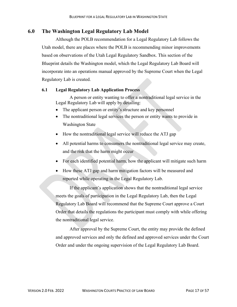# <span id="page-17-0"></span>**6.0 The Washington Legal Regulatory Lab Model**

Although the POLB recommendation for a Legal Regulatory Lab follows the Utah model, there are places where the POLB is recommending minor improvements based on observations of the Utah Legal Regulatory Sandbox. This section of the Blueprint details the Washington model, which the Legal Regulatory Lab Board will incorporate into an operations manual approved by the Supreme Court when the Legal Regulatory Lab is created.

## <span id="page-17-1"></span>**6.1 Legal Regulatory Lab Application Process**

A person or entity wanting to offer a nontraditional legal service in the Legal Regulatory Lab will apply by detailing:

- The applicant person or entity's structure and key personnel
- The nontraditional legal services the person or entity wants to provide in Washington State
- How the nontraditional legal service will reduce the ATJ gap
- All potential harms to consumers the nontraditional legal service may create, and the risk that the harm might occur
- For each identified potential harm, how the applicant will mitigate such harm
- How these ATJ gap and harm mitigation factors will be measured and reported while operating in the Legal Regulatory Lab.

If the applicant's application shows that the nontraditional legal service meets the goals of participation in the Legal Regulatory Lab, then the Legal Regulatory Lab Board will recommend that the Supreme Court approve a Court Order that details the regulations the participant must comply with while offering the nontraditional legal service.

After approval by the Supreme Court, the entity may provide the defined and approved services and only the defined and approved services under the Court Order and under the ongoing supervision of the Legal Regulatory Lab Board.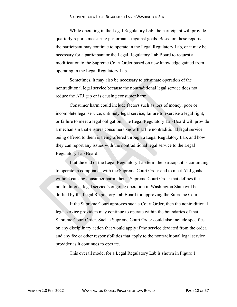While operating in the Legal Regulatory Lab, the participant will provide quarterly reports measuring performance against goals. Based on these reports, the participant may continue to operate in the Legal Regulatory Lab, or it may be necessary for a participant or the Legal Regulatory Lab Board to request a modification to the Supreme Court Order based on new knowledge gained from operating in the Legal Regulatory Lab.

Sometimes, it may also be necessary to terminate operation of the nontraditional legal service because the nontraditional legal service does not reduce the ATJ gap or is causing consumer harm.

Consumer harm could include factors such as loss of money, poor or incomplete legal service, untimely legal service, failure to exercise a legal right, or failure to meet a legal obligation. The Legal Regulatory Lab Board will provide a mechanism that ensures consumers know that the nontraditional legal service being offered to them is being offered through a Legal Regulatory Lab, and how they can report any issues with the nontraditional legal service to the Legal Regulatory Lab Board.

If at the end of the Legal Regulatory Lab term the participant is continuing to operate in compliance with the Supreme Court Order and to meet ATJ goals without causing consumer harm, then a Supreme Court Order that defines the nontraditional legal service's ongoing operation in Washington State will be drafted by the Legal Regulatory Lab Board for approving the Supreme Court.

If the Supreme Court approves such a Court Order, then the nontraditional legal service providers may continue to operate within the boundaries of that Supreme Court Order. Such a Supreme Court Order could also include specifics on any disciplinary action that would apply if the service deviated from the order, and any fee or other responsibilities that apply to the nontraditional legal service provider as it continues to operate.

This overall model for a Legal Regulatory Lab is shown in Figure 1.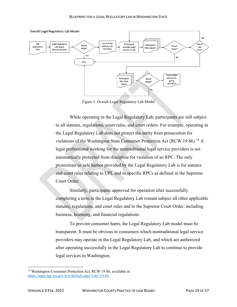

Figure 1. Overall Legal Regulatory Lab Model

While operating in the Legal Regulatory Lab, participants are still subject to all statutes, regulations, court rules, and court orders. For example, operating in the Legal Regulatory Lab does not protect the entity from prosecution for violations of the Washington State Consumer Protection Act (RCW 19.86). [14](#page-19-0) A legal professional working for the nontraditional legal service providers is not automatically protected from discipline for violation of an RPC. The only protections or safe harbor provided by the Legal Regulatory Lab is for statutes and court rules relating to UPL and to specific RPCs as defined in the Supreme Court Order.

Similarly, participants approved for operation after successfully completing a term in the Legal Regulatory Lab remain subject all other applicable statutes, regulations, and court rules and to the Supreme Court Order, including business, licensing, and financial regulations.

To prevent consumer harm, the Legal Regulatory Lab model must be transparent. It must be obvious to consumers which nontraditional legal service providers may operate in the Legal Regulatory Lab, and which are authorized after operating successfully in the Legal Regulatory Lab to continue to provide legal services in Washington.

<span id="page-19-0"></span><sup>&</sup>lt;sup>14</sup> Washington Consumer Protection Act, RCW 19.86, available at [https://apps.leg.wa.gov/rcw/default.aspx?cite=19.86.](https://apps.leg.wa.gov/rcw/default.aspx?cite=19.86)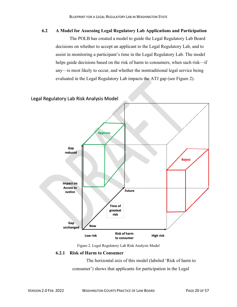#### <span id="page-20-0"></span>**6.2 A Model for Assessing Legal Regulatory Lab Applications and Participation**

The POLB has created a model to guide the Legal Regulatory Lab Board decisions on whether to accept an applicant to the Legal Regulatory Lab, and to assist in monitoring a participant's time in the Legal Regulatory Lab. The model helps guide decisions based on the risk of harm to consumers, when such risk—if any—is most likely to occur, and whether the nontraditional legal service being evaluated in the Legal Regulatory Lab impacts the ATJ gap (see Figure 2).





#### **6.2.1 Risk of Harm to Consumer**

The horizontal axis of this model (labeled 'Risk of harm to consumer') shows that applicants for participation in the Legal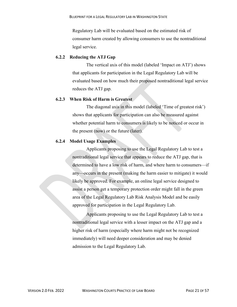Regulatory Lab will be evaluated based on the estimated risk of consumer harm created by allowing consumers to use the nontraditional legal service.

#### **6.2.2 Reducing the ATJ Gap**

The vertical axis of this model (labeled 'Impact on ATJ') shows that applicants for participation in the Legal Regulatory Lab will be evaluated based on how much their proposed nontraditional legal service reduces the ATJ gap.

#### **6.2.3 When Risk of Harm is Greatest**

The diagonal axis in this model (labeled 'Time of greatest risk') shows that applicants for participation can also be measured against whether potential harm to consumers is likely to be noticed or occur in the present (now) or the future (later).

#### **6.2.4 Model Usage Examples**

Applicants proposing to use the Legal Regulatory Lab to test a nontraditional legal service that appears to reduce the ATJ gap, that is determined to have a low risk of harm, and where harm to consumers—if any—occurs in the present (making the harm easier to mitigate) it would likely be approved. For example, an online legal service designed to assist a person get a temporary protection order might fall in the green area of the Legal Regulatory Lab Risk Analysis Model and be easily approved for participation in the Legal Regulatory Lab.

Applicants proposing to use the Legal Regulatory Lab to test a nontraditional legal service with a lesser impact on the ATJ gap and a higher risk of harm (especially where harm might not be recognized immediately) will need deeper consideration and may be denied admission to the Legal Regulatory Lab.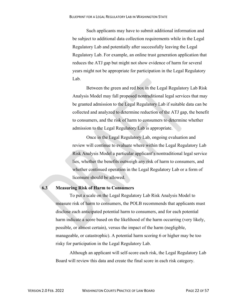Such applicants may have to submit additional information and be subject to additional data collection requirements while in the Legal Regulatory Lab and potentially after successfully leaving the Legal Regulatory Lab. For example, an online trust generation application that reduces the ATJ gap but might not show evidence of harm for several years might not be appropriate for participation in the Legal Regulatory Lab.

Between the green and red box in the Legal Regulatory Lab Risk Analysis Model may fall proposed nontraditional legal services that may be granted admission to the Legal Regulatory Lab if suitable data can be collected and analyzed to determine reduction of the ATJ gap, the benefit to consumers, and the risk of harm to consumers to determine whether admission to the Legal Regulatory Lab is appropriate.

Once in the Legal Regulatory Lab, ongoing evaluation and review will continue to evaluate where within the Legal Regulatory Lab Risk Analysis Model a particular applicant's nontraditional legal service lies, whether the benefits outweigh any risk of harm to consumers, and whether continued operation in the Legal Regulatory Lab or a form of licensure should be allowed.

## <span id="page-22-0"></span>**6.3 Measuring Risk of Harm to Consumers**

To put a scale on the Legal Regulatory Lab Risk Analysis Model to measure risk of harm to consumers, the POLB recommends that applicants must disclose each anticipated potential harm to consumers, and for each potential harm indicate a score based on the likelihood of the harm occurring (very likely, possible, or almost certain), versus the impact of the harm (negligible, manageable, or catastrophic). A potential harm scoring 6 or higher may be too risky for participation in the Legal Regulatory Lab.

Although an applicant will self-score each risk, the Legal Regulatory Lab Board will review this data and create the final score in each risk category.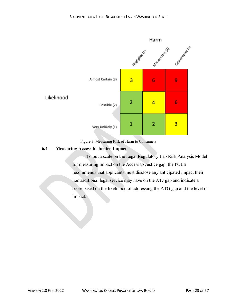



#### <span id="page-23-0"></span>**6.4 Measuring Access to Justice Impact**

To put a scale on the Legal Regulatory Lab Risk Analysis Model for measuring impact on the Access to Justice gap, the POLB recommends that applicants must disclose any anticipated impact their nontraditional legal service may have on the ATJ gap and indicate a score based on the likelihood of addressing the ATG gap and the level of impact.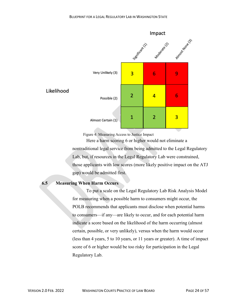

Figure 4: Measuring Access to Justice Impact

Here a harm scoring 6 or higher would not eliminate a nontraditional legal service from being admitted to the Legal Regulatory Lab, but, if resources in the Legal Regulatory Lab were constrained, those applicants with low scores (more likely positive impact on the ATJ gap) would be admitted first.

#### <span id="page-24-0"></span>**6.5 Measuring When Harm Occurs**

To put a scale on the Legal Regulatory Lab Risk Analysis Model for measuring when a possible harm to consumers might occur, the POLB recommends that applicants must disclose when potential harms to consumers—if any—are likely to occur, and for each potential harm indicate a score based on the likelihood of the harm occurring (almost certain, possible, or very unlikely), versus when the harm would occur (less than 4 years, 5 to 10 years, or 11 years or greater). A time of impact score of 6 or higher would be too risky for participation in the Legal Regulatory Lab.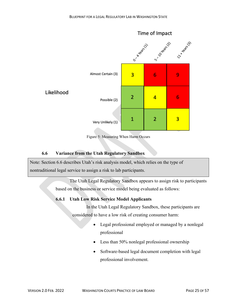

Figure 5: Measuring When Harm Occurs

## **6.6 Variance from the Utah Regulatory Sandbox**

<span id="page-25-0"></span>Note: Section 6.6 describes Utah's risk analysis model, which relies on the type of nontraditional legal service to assign a risk to lab participants.

> The Utah Legal Regulatory Sandbox appears to assign risk to participants based on the business or service model being evaluated as follows:

## **6.6.1 Utah Low Risk Service Model Applicants**

In the Utah Legal Regulatory Sandbox, these participants are considered to have a low risk of creating consumer harm:

- Legal professional employed or managed by a nonlegal professional
- Less than 50% nonlegal professional ownership
- Software-based legal document completion with legal professional involvement.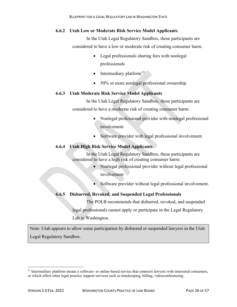#### **6.6.2 Utah Low or Moderate Risk Service Model Applicants**

In the Utah Legal Regulatory Sandbox, these participants are considered to have a low or moderate risk of creating consumer harm:

- Legal professionals sharing fees with nonlegal professionals
- Intermediary platform $15$
- 50% or more nonlegal professional ownership.

#### **6.6.3 Utah Moderate Risk Service Model Applicants**

In the Utah Legal Regulatory Sandbox, these participants are considered to have a moderate risk of creating consumer harm:

- Nonlegal professional provider with nonlegal professional involvement
- Software provider with legal professional involvement.

## **6.6.4 Utah High Risk Service Model Applicants**

In the Utah Legal Regulatory Sandbox, these participants are considered to have a high risk of creating consumer harm:

- Nonlegal professional provider without legal professional involvement
- Software provider without legal professional involvement.

## **6.6.5 Disbarred, Revoked, and Suspended Legal Professionals**

The POLB recommends that disbarred, revoked, and suspended legal professionals cannot apply or participate in the Legal Regulatory Lab in Washington.

Note: Utah appears to allow some participation by disbarred or suspended lawyers in the Utah Legal Regulatory Sandbox.

<span id="page-26-0"></span><sup>&</sup>lt;sup>15</sup> Intermediary platform means a software- or online-based service that connects lawyers with interested consumers, or which offers other legal practice support services such as timekeeping, billing, videoconferencing.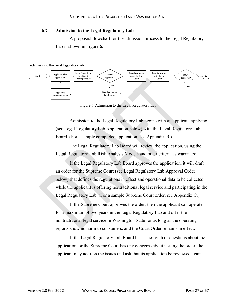#### <span id="page-27-0"></span>**6.7 Admission to the Legal Regulatory Lab**

A proposed flowchart for the admission process to the Legal Regulatory Lab is shown in Figure 6.





Figure 6. Admission to the Legal Regulatory Lab

Admission to the Legal Regulatory Lab begins with an applicant applying (see Legal Regulatory Lab Application below) with the Legal Regulatory Lab Board. (For a sample completed application, see Appendix B.)

The Legal Regulatory Lab Board will review the application, using the Legal Regulatory Lab Risk Analysis Models and other criteria as warranted.

If the Legal Regulatory Lab Board approves the application, it will draft an order for the Supreme Court (see Legal Regulatory Lab Approval Order below) that defines the regulations in effect and operational data to be collected while the applicant is offering nontraditional legal service and participating in the Legal Regulatory Lab. (For a sample Supreme Court order, see Appendix C.)

If the Supreme Court approves the order, then the applicant can operate for a maximum of two years in the Legal Regulatory Lab and offer the nontraditional legal service in Washington State for as long as the operating reports show no harm to consumers, and the Court Order remains in effect.

If the Legal Regulatory Lab Board has issues with or questions about the application, or the Supreme Court has any concerns about issuing the order, the applicant may address the issues and ask that its application be reviewed again.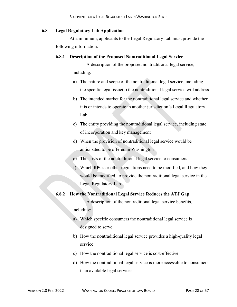#### <span id="page-28-0"></span>**6.8 Legal Regulatory Lab Application**

At a minimum, applicants to the Legal Regulatory Lab must provide the following information:

#### **6.8.1 Description of the Proposed Nontraditional Legal Service**

A description of the proposed nontraditional legal service, including:

- a) The nature and scope of the nontraditional legal service, including the specific legal issue(s) the nontraditional legal service will address
- b) The intended market for the nontraditional legal service and whether it is or intends to operate in another jurisdiction's Legal Regulatory Lab
- c) The entity providing the nontraditional legal service, including state of incorporation and key management
- d) When the provision of nontraditional legal service would be anticipated to be offered in Washington
- e) The costs of the nontraditional legal service to consumers
- f) Which RPCs or other regulations need to be modified, and how they would be modified, to provide the nontraditional legal service in the Legal Regulatory Lab.

#### **6.8.2 How the Nontraditional Legal Service Reduces the ATJ Gap**

A description of the nontraditional legal service benefits,

#### including:

- a) Which specific consumers the nontraditional legal service is designed to serve
- b) How the nontraditional legal service provides a high-quality legal service
- c) How the nontraditional legal service is cost-effective
- d) How the nontraditional legal service is more accessible to consumers than available legal services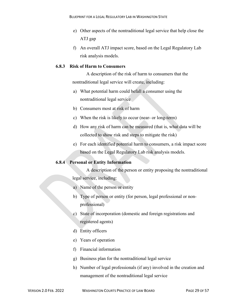- e) Other aspects of the nontraditional legal service that help close the ATJ gap
- f) An overall ATJ impact score, based on the Legal Regulatory Lab risk analysis models.

## **6.8.3 Risk of Harm to Consumers**

A description of the risk of harm to consumers that the nontraditional legal service will create, including:

- a) What potential harm could befall a consumer using the nontraditional legal service
- b) Consumers most at risk of harm
- c) When the risk is likely to occur (near- or long-term)
- d) How any risk of harm can be measured (that is, what data will be collected to show risk and steps to mitigate the risk)
- e) For each identified potential harm to consumers, a risk impact score based on the Legal Regulatory Lab risk analysis models.

#### **6.8.4 Personal or Entity Information**

A description of the person or entity proposing the nontraditional legal service, including:

- a) Name of the person or entity
- b) Type of person or entity (for person, legal professional or nonprofessional)
- c) State of incorporation (domestic and foreign registrations and registered agents)
- d) Entity officers
- e) Years of operation
- f) Financial information
- g) Business plan for the nontraditional legal service
- h) Number of legal professionals (if any) involved in the creation and management of the nontraditional legal service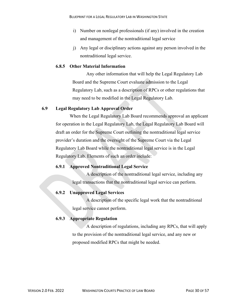- i) Number on nonlegal professionals (if any) involved in the creation and management of the nontraditional legal service
- j) Any legal or disciplinary actions against any person involved in the nontraditional legal service.

#### **6.8.5 Other Material Information**

Any other information that will help the Legal Regulatory Lab Board and the Supreme Court evaluate admission to the Legal Regulatory Lab, such as a description of RPCs or other regulations that may need to be modified in the Legal Regulatory Lab.

## <span id="page-30-0"></span>**6.9 Legal Regulatory Lab Approval Order**

When the Legal Regulatory Lab Board recommends approval an applicant for operation in the Legal Regulatory Lab, the Legal Regulatory Lab Board will draft an order for the Supreme Court outlining the nontraditional legal service provider's duration and the oversight of the Supreme Court via the Legal Regulatory Lab Board while the nontraditional legal service is in the Legal Regulatory Lab. Elements of such an order include:

## **6.9.1 Approved Nontraditional Legal Service**

A description of the nontraditional legal service, including any legal transactions that the nontraditional legal service can perform.

## **6.9.2 Unapproved Legal Services**

A description of the specific legal work that the nontraditional legal service cannot perform.

## **6.9.3 Appropriate Regulation**

A description of regulations, including any RPCs, that will apply to the provision of the nontraditional legal service, and any new or proposed modified RPCs that might be needed.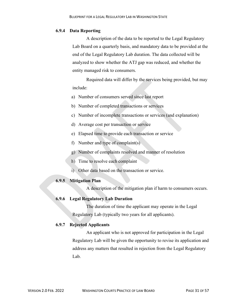#### **6.9.4 Data Reporting**

A description of the data to be reported to the Legal Regulatory Lab Board on a quarterly basis, and mandatory data to be provided at the end of the Legal Regulatory Lab duration. The data collected will be analyzed to show whether the ATJ gap was reduced, and whether the entity managed risk to consumers.

Required data will differ by the services being provided, but may include:

- a) Number of consumers served since last report
- b) Number of completed transactions or services
- c) Number of incomplete transactions or services (and explanation)
- d) Average cost per transaction or service
- e) Elapsed time to provide each transaction or service
- f) Number and type of complaint(s)
- g) Number of complaints resolved and manner of resolution
- h) Time to resolve each complaint
- i) Other data based on the transaction or service.

## **6.9.5 Mitigation Plan**

A description of the mitigation plan if harm to consumers occurs.

#### **6.9.6 Legal Regulatory Lab Duration**

The duration of time the applicant may operate in the Legal Regulatory Lab (typically two years for all applicants).

## **6.9.7 Rejected Applicants**

An applicant who is not approved for participation in the Legal Regulatory Lab will be given the opportunity to revise its application and address any matters that resulted in rejection from the Legal Regulatory Lab.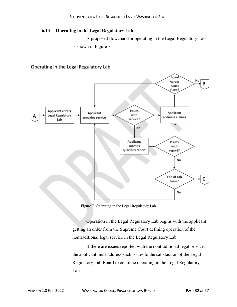## <span id="page-32-0"></span>**6.10 Operating in the Legal Regulatory Lab**

A proposed flowchart for operating in the Legal Regulatory Lab is shown in Figure 7.

## Operating in the Legal Regulatory Lab



Figure 7. Operating in the Legal Regulatory Lab

Operation in the Legal Regulatory Lab begins with the applicant getting an order from the Supreme Court defining operation of the nontraditional legal service in the Legal Regulatory Lab.

If there are issues reported with the nontraditional legal service, the applicant must address such issues to the satisfaction of the Legal Regulatory Lab Board to continue operating in the Legal Regulatory Lab.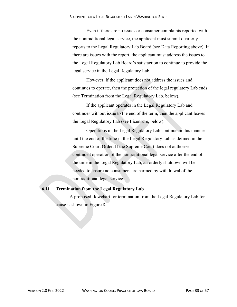Even if there are no issues or consumer complaints reported with the nontraditional legal service, the applicant must submit quarterly reports to the Legal Regulatory Lab Board (see Data Reporting above). If there are issues with the report, the applicant must address the issues to the Legal Regulatory Lab Board's satisfaction to continue to provide the legal service in the Legal Regulatory Lab.

However, if the applicant does not address the issues and continues to operate, then the protection of the legal regulatory Lab ends (see Termination from the Legal Regulatory Lab, below).

If the applicant operates in the Legal Regulatory Lab and continues without issue to the end of the term, then the applicant leaves the Legal Regulatory Lab (see Licensure, below).

Operations in the Legal Regulatory Lab continue in this manner until the end of the time in the Legal Regulatory Lab as defined in the Supreme Court Order. If the Supreme Court does not authorize continued operation of the nontraditional legal service after the end of the time in the Legal Regulatory Lab, an orderly shutdown will be needed to ensure no consumers are harmed by withdrawal of the nontraditional legal service.

#### <span id="page-33-0"></span>**6.11 Termination from the Legal Regulatory Lab**

A proposed flowchart for termination from the Legal Regulatory Lab for cause is shown in Figure 8.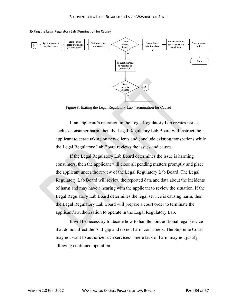

Exiting the Legal Regulatory Lab (Termination for Cause)

Figure 8. Exiting the Legal Regulatory Lab (Termination for Cause)

If an applicant's operation in the Legal Regulatory Lab creates issues, such as consumer harm, then the Legal Regulatory Lab Board will instruct the applicant to cease taking on new clients and conclude existing transactions while the Legal Regulatory Lab Board reviews the issues and causes.

If the Legal Regulatory Lab Board determines the issue is harming consumers, then the applicant will close all pending matters promptly and place the applicant under the review of the Legal Regulatory Lab Board. The Legal Regulatory Lab Board will review the reported data and data about the incidents of harm and may have a hearing with the applicant to review the situation. If the Legal Regulatory Lab Board determines the legal service is causing harm, then the Legal Regulatory Lab Board will prepare a court order to terminate the applicant's authorization to operate in the Legal Regulatory Lab.

It will be necessary to decide how to handle nontraditional legal service that do not affect the ATJ gap and do not harm consumers. The Supreme Court may not want to authorize such services—mere lack of harm may not justify allowing continued operation.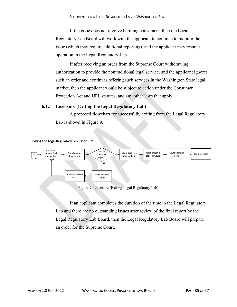If the issue does not involve harming consumers, then the Legal Regulatory Lab Board will work with the applicant to continue to monitor the issue (which may require additional reporting), and the applicant may resume operation in the Legal Regulatory Lab.

If after receiving an order from the Supreme Court withdrawing authorization to provide the nontraditional legal service, and the applicant ignores such an order and continues offering such services in the Washington State legal market, then the applicant would be subject to action under the Consumer Protection Act and UPL statutes, and any other laws that apply.

#### <span id="page-35-0"></span>**6.12 Licensure (Exiting the Legal Regulatory Lab)**

A proposed flowchart for successfully exiting from the Legal Regulatory Lab is shown in Figure 9.



Figure 9. Licensure (Exiting Legal Regulatory Lab)

If an applicant completes the duration of the time in the Legal Regulatory Lab and there are no outstanding issues after review of the final report by the Legal Regulatory Lab Board, then the Legal Regulatory Lab Board will prepare an order for the Supreme Court.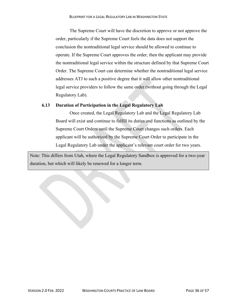The Supreme Court will have the discretion to approve or not approve the order, particularly if the Supreme Court feels the data does not support the conclusion the nontraditional legal service should be allowed to continue to operate. If the Supreme Court approves the order, then the applicant may provide the nontraditional legal service within the structure defined by that Supreme Court Order. The Supreme Court can determine whether the nontraditional legal service addresses ATJ to such a positive degree that it will allow other nontraditional legal service providers to follow the same order (without going through the Legal Regulatory Lab).

## <span id="page-36-0"></span>**6.13 Duration of Participation in the Legal Regulatory Lab**

Once created, the Legal Regulatory Lab and the Legal Regulatory Lab Board will exist and continue to fulfill its duties and functions as outlined by the Supreme Court Orders until the Supreme Court changes such orders. Each applicant will be authorized by the Supreme Court Order to participate in the Legal Regulatory Lab under the applicant's relevant court order for two years.

Note: This differs from Utah, where the Legal Regulatory Sandbox is approved for a two-year duration, but which will likely be renewed for a longer term.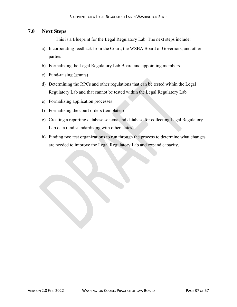# <span id="page-37-0"></span>**7.0 Next Steps**

This is a Blueprint for the Legal Regulatory Lab. The next steps include:

- a) Incorporating feedback from the Court, the WSBA Board of Governors, and other parties
- b) Formalizing the Legal Regulatory Lab Board and appointing members
- c) Fund-raising (grants)
- d) Determining the RPCs and other regulations that can be tested within the Legal Regulatory Lab and that cannot be tested within the Legal Regulatory Lab
- e) Formalizing application processes
- f) Formalizing the court orders (templates)
- g) Creating a reporting database schema and database for collecting Legal Regulatory Lab data (and standardizing with other states)
- h) Finding two test organizations to run through the process to determine what changes are needed to improve the Legal Regulatory Lab and expand capacity.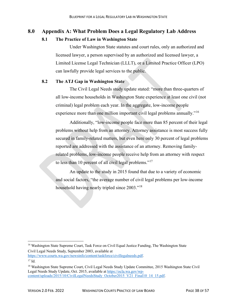## <span id="page-38-1"></span><span id="page-38-0"></span>**8.0 Appendix A: What Problem Does a Legal Regulatory Lab Address**

## **8.1 The Practice of Law in Washington State**

Under Washington State statutes and court rules, only an authorized and licensed lawyer, a person supervised by an authorized and licensed lawyer, a Limited License Legal Technician (LLLT), or a Limited Practice Officer (LPO) can lawfully provide legal services to the public.

#### <span id="page-38-2"></span>**8.2 The ATJ Gap in Washington State**

The Civil Legal Needs study update stated: "more than three-quarters of all low-income households in Washington State experience at least one civil (not criminal) legal problem each year. In the aggregate, low-income people experience more than one million important civil legal problems annually."<sup>[16](#page-38-3)</sup>

Additionally, "low-income people face more than 85 percent of their legal problems without help from an attorney. Attorney assistance is most success fully secured in family-related matters, but even here only 30 percent of legal problems reported are addressed with the assistance of an attorney. Removing familyrelated problems, low-income people receive help from an attorney with respect to less than 10 percent of all civil legal problems."<sup>[17](#page-38-4)</sup>

An update to the study in 2015 found that due to a variety of economic and social factors, "the average number of civil legal problems per low-income household having nearly tripled since 2003."[18](#page-38-5)

[https://www.courts.wa.gov/newsinfo/content/taskforce/civillegalneeds.pdf.](https://www.courts.wa.gov/newsinfo/content/taskforce/civillegalneeds.pdf)

<span id="page-38-5"></span><sup>18</sup> Washington State Supreme Court, Civil Legal Needs Study Update Committee, 2015 Washington State Civil Legal Needs Study Update, Oct. 2015, available at [https://ocla.wa.gov/wp](https://ocla.wa.gov/wp-content/uploads/2015/10/CivilLegalNeedsStudy_October2015_V21_Final10_14_15.pdf)[content/uploads/2015/10/CivilLegalNeedsStudy\\_October2015\\_V21\\_Final10\\_14\\_15.pdf.](https://ocla.wa.gov/wp-content/uploads/2015/10/CivilLegalNeedsStudy_October2015_V21_Final10_14_15.pdf)

<span id="page-38-3"></span><sup>&</sup>lt;sup>16</sup> Washington State Supreme Court, Task Force on Civil Equal Justice Funding, The Washington State Civil Legal Needs Study, September 2003, available at

<span id="page-38-4"></span> $17$  Id.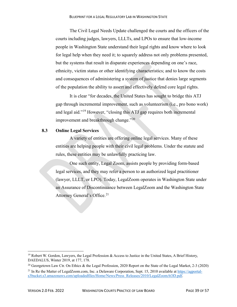The Civil Legal Needs Update challenged the courts and the officers of the courts including judges, lawyers, LLLTs, and LPOs to ensure that low-income people in Washington State understand their legal rights and know where to look for legal help when they need it; to squarely address not only problems presented, but the systems that result in disparate experiences depending on one's race, ethnicity, victim status or other identifying characteristics; and to know the costs and consequences of administering a system of justice that denies large segments of the population the ability to assert and effectively defend core legal rights.

It is clear "for decades, the United States has sought to bridge this ATJ gap through incremental improvement, such as volunteerism (i.e., pro bono work) and legal aid."[19](#page-39-1) However, "closing this ATJ gap requires both incremental improvement and breakthrough change."<sup>[20](#page-39-2)</sup>

#### <span id="page-39-0"></span>**8.3 Online Legal Services**

A variety of entities are offering online legal services. Many of these entities are helping people with their civil legal problems. Under the statute and rules, these entities may be unlawfully practicing law.

One such entity, Legal Zoom, assists people by providing form-based legal services, and they may refer a person to an authorized legal practitioner (lawyer, LLLT, or LPO). Today, LegalZoom operates in Washington State under an Assurance of Discontinuance between LegalZoom and the Washington State Attorney General's Office.<sup>[21](#page-39-3)</sup>

<span id="page-39-1"></span> $19$  Robert W. Gordon, Lawyers, the Legal Profession & Access to Justice in the United States, A Brief History, DAEDALUS, Winter 2019, at 177, 178.

<span id="page-39-2"></span><sup>&</sup>lt;sup>20</sup> Georgetown Law Ctr. On Ethics & the Legal Profession, 2020 Report on the State of the Legal Market, 2-3 (2020)

<span id="page-39-3"></span><sup>&</sup>lt;sup>21</sup> In Re the Matter of LegalZoom.com, Inc. a Delaware Corporation, Sept. 15, 2010 available at [https://agportal](https://agportal-s3bucket.s3.amazonaws.com/uploadedfiles/Home/News/Press_Releases/2010/LegalZoomAOD.pdf)[s3bucket.s3.amazonaws.com/uploadedfiles/Home/News/Press\\_Releases/2010/LegalZoomAOD.pdf.](https://agportal-s3bucket.s3.amazonaws.com/uploadedfiles/Home/News/Press_Releases/2010/LegalZoomAOD.pdf)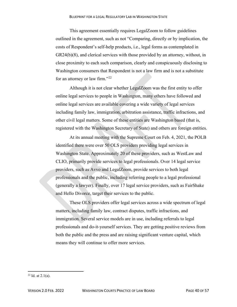This agreement essentially requires LegalZoom to follow guidelines outlined in the agreement, such as not "Comparing, directly or by implication, the costs of Respondent's self-help products, i.e., legal forms as contemplated in GR24(b)(8), and clerical services with those provided by an attorney, without, in close proximity to each such comparison, clearly and conspicuously disclosing to Washington consumers that Respondent is not a law firm and is not a substitute for an attorney or law firm."[22](#page-40-0)

Although it is not clear whether LegalZoom was the first entity to offer online legal services to people in Washington, many others have followed and online legal services are available covering a wide variety of legal services including family law, immigration, arbitration assistance, traffic infractions, and other civil legal matters. Some of these entities are Washington based (that is, registered with the Washington Secretary of State) and others are foreign entities.

At its annual meeting with the Supreme Court on Feb. 4, 2021, the POLB identified there were over 50 OLS providers providing legal services in Washington State. Approximately 20 of these providers, such as WestLaw and CLIO, primarily provide services to legal professionals. Over 14 legal service providers, such as Avvo and LegalZoom, provide services to both legal professionals and the public, including referring people to a legal professional (generally a lawyer). Finally, over 17 legal service providers, such as FairShake and Hello Divorce, target their services to the public.

These OLS providers offer legal services across a wide spectrum of legal matters, including family law, contract disputes, traffic infractions, and immigration. Several service models are in use, including referrals to legal professionals and do-it-yourself services. They are getting positive reviews from both the public and the press and are raising significant venture capital, which means they will continue to offer more services.

<span id="page-40-0"></span> $22$  Id. at  $2.1(a)$ .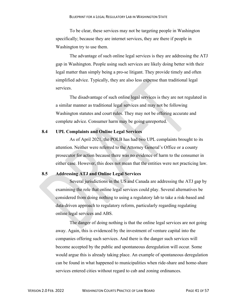To be clear, these services may not be targeting people in Washington specifically; because they are internet services, they are there if people in Washington try to use them.

The advantage of such online legal services is they are addressing the ATJ gap in Washington. People using such services are likely doing better with their legal matter than simply being a pro-se litigant. They provide timely and often simplified advice. Typically, they are also less expense than traditional legal services.

The disadvantage of such online legal services is they are not regulated in a similar manner as traditional legal services and may not be following Washington statutes and court rules. They may not be offering accurate and complete advice. Consumer harm may be going unreported.

#### <span id="page-41-0"></span>**8.4 UPL Complaints and Online Legal Services**

As of April 2021, the POLB has had two UPL complaints brought to its attention. Neither were referred to the Attorney General's Office or a county prosecutor for action because there was no evidence of harm to the consumer in either case. However, this does not mean that the entities were not practicing law.

## <span id="page-41-1"></span>**8.5 Addressing ATJ and Online Legal Services**

Several jurisdictions in the US and Canada are addressing the ATJ gap by examining the role that online legal services could play. Several alternatives be considered from doing nothing to using a regulatory lab to take a risk-based and data-driven approach to regulatory reform, particularly regarding regulating online legal services and ABS.

The danger of doing nothing is that the online legal services are not going away. Again, this is evidenced by the investment of venture capital into the companies offering such services. And there is the danger such services will become accepted by the public and spontaneous deregulation will occur. Some would argue this is already taking place. An example of spontaneous deregulation can be found in what happened to municipalities when ride-share and home-share services entered cities without regard to cab and zoning ordinances.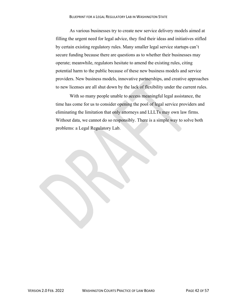As various businesses try to create new service delivery models aimed at filling the urgent need for legal advice, they find their ideas and initiatives stifled by certain existing regulatory rules. Many smaller legal service startups can't secure funding because there are questions as to whether their businesses may operate; meanwhile, regulators hesitate to amend the existing rules, citing potential harm to the public because of these new business models and service providers. New business models, innovative partnerships, and creative approaches to new licenses are all shut down by the lack of flexibility under the current rules.

With so many people unable to access meaningful legal assistance, the time has come for us to consider opening the pool of legal service providers and eliminating the limitation that only attorneys and LLLTs may own law firms. Without data, we cannot do so responsibly. There is a simple way to solve both problems: a Legal Regulatory Lab.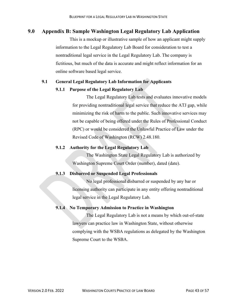## <span id="page-43-0"></span>**9.0 Appendix B: Sample Washington Legal Regulatory Lab Application**

This is a mockup or illustrative sample of how an applicant might supply information to the Legal Regulatory Lab Board for consideration to test a nontraditional legal service in the Legal Regulatory Lab. The company is fictitious, but much of the data is accurate and might reflect information for an online software based legal service.

#### <span id="page-43-1"></span>**9.1 General Legal Regulatory Lab Information for Applicants**

#### **9.1.1 Purpose of the Legal Regulatory Lab**

The Legal Regulatory Lab tests and evaluates innovative models for providing nontraditional legal service that reduce the ATJ gap, while minimizing the risk of harm to the public. Such innovative services may not be capable of being offered under the Rules of Professional Conduct (RPC) or would be considered the Unlawful Practice of Law under the Revised Code of Washington (RCW) 2.48.180.

#### **9.1.2 Authority for the Legal Regulatory Lab**

The Washington State Legal Regulatory Lab is authorized by Washington Supreme Court Order (number), dated (date).

#### **9.1.3 Disbarred or Suspended Legal Professionals**

No legal professional disbarred or suspended by any bar or licensing authority can participate in any entity offering nontraditional legal service in the Legal Regulatory Lab.

#### **9.1.4 No Temporary Admission to Practice in Washington**

The Legal Regulatory Lab is not a means by which out-of-state lawyers can practice law in Washington State, without otherwise complying with the WSBA regulations as delegated by the Washington Supreme Court to the WSBA.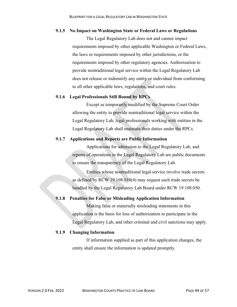#### **9.1.5 No Impact on Washington State or Federal Laws or Regulations**

The Legal Regulatory Lab does not and cannot impact requirements imposed by other applicable Washington or Federal Laws, the laws or requirements imposed by other jurisdictions, or the requirements imposed by other regulatory agencies. Authorization to provide nontraditional legal service within the Legal Regulatory Lab does not release or indemnify any entity or individual from conforming to all other applicable laws, regulations, and court rules.

#### **9.1.6 Legal Professionals Still Bound by RPCs**

Except as temporarily modified by the Supreme Court Order allowing the entity to provide nontraditional legal service within the Legal Regulatory Lab, legal professionals working with entities in the Legal Regulatory Lab shall maintain their duties under the RPCs.

#### **9.1.7 Applications and Reports are Public Information**

Applications for admission to the Legal Regulatory Lab, and reports of operations in the Legal Regulatory Lab are public documents to ensure the transparency of the Legal Regulatory Lab.

Entities whose nontraditional legal service involve trade secrets as defined by RCW 19.108.010(4) may request such trade secrets be handled by the Legal Regulatory Lab Board under RCW 19.108.050.

#### **9.1.8 Penalties for False or Misleading Application Information**

Making false or materially misleading statements in this application is the basis for loss of authorization to participate in the Legal Regulatory Lab, and other criminal and civil sanctions may apply.

#### **9.1.9 Changing Information**

If information supplied as part of this application changes, the entity shall ensure the information is updated promptly.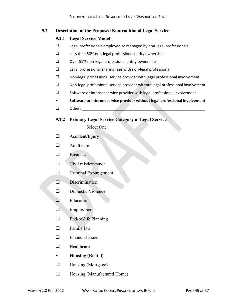## <span id="page-45-0"></span>**9.2 Description of the Proposed Nontraditional Legal Service**

#### **9.2.1 Legal Service Model**

- Legal professionals employed or managed by non-legal professionals
- $\Box$  Less than 50% non-legal professional entity ownership
- $\square$  Over 51% non-legal professional entity ownership
- Legal professional sharing fees with non-legal professional
- $\Box$  Non-legal professional service provider with legal professional involvement
- Non-legal professional service provider without legal professional involvement
- □ Software or internet service provider with legal professional involvement
- **Software or internet service provider without legal professional involvement**
- $\Box$  Other:
- **9.2.2 Primary Legal Service Category of Legal Service**

Select One

- **a** Accident/Injury
- **A** Adult care
- $\Box$  Business
- $\Box$  Civil misdemeanor
- **Q** Criminal Expungement
- **D** Discrimination
- **Q** Domestic Violence
- **E**ducation
- **Employment**
- □ End-of-life Planning
- $\Box$  Family law
- $\Box$  Financial issues
- $\Box$  Healthcare
- **Housing (Rental)**
- $\Box$  Housing (Mortgage)
- □ Housing (Manufactured Home)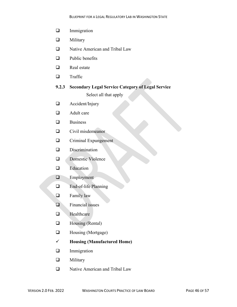- **Immigration**
- **O** Military
- □ Native American and Tribal Law
- $\Box$  Public benefits
- $\Box$  Real estate
- **u** Traffic

# **9.2.3 Secondary Legal Service Category of Legal Service**

Select all that apply

- Accident/Injury
- $\Box$  Adult care
- $\Box$  Business
- $\Box$  Civil misdemeanor
- **Q** Criminal Expungement
- **D** Discrimination
- Domestic Violence
- **E**ducation
- **Employment**
- End-of-life Planning
- **Example 1** Family law
- $\Box$  Financial issues
- **Healthcare**
- $\Box$  Housing (Rental)
- $\Box$  Housing (Mortgage)
- **Housing (Manufactured Home)**
- **Immigration**
- **Q** Military
- □ Native American and Tribal Law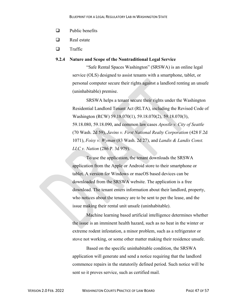- $\Box$  Public benefits
- $\Box$  Real estate
- $\Box$  Traffic

#### **9.2.4 Nature and Scope of the Nontraditional Legal Service**

"Safe Rental Spaces Washington" (SRSWA) is an online legal service (OLS) designed to assist tenants with a smartphone, tablet, or personal computer secure their rights against a landlord renting an unsafe (uninhabitable) premise.

SRSWA helps a tenant secure their rights under the Washington Residential Landlord Tenant Act (RLTA), including the Revised Code of Washington (RCW) 59.18.070(1), 59.18.070(2), 59.18.070(3), 59.18.080, 59.18.090, and common law cases *Apostle v. City of Seattle* (70 Wash. 2d 59), *Javins v. First National Realty Corporation* (428 F.2d 1071), *Foisy v. Wyman* (83 Wash. 2d 27), and *Landis & Landis Const. LLC v. Nation* (286 P. 3d 979).

To use the application, the tenant downloads the SRSWA application from the Apple or Android store to their smartphone or tablet. A version for Windows or macOS based devices can be downloaded from the SRSWA website. The application is a free download. The tenant enters information about their landlord, property, who notices about the tenancy are to be sent to per the lease, and the issue making their rental unit unsafe (uninhabitable).

Machine learning based artificial intelligence determines whether the issue is an imminent health hazard, such as no heat in the winter or extreme rodent infestation, a minor problem, such as a refrigerator or stove not working, or some other matter making their residence unsafe.

Based on the specific uninhabitable condition, the SRSWA application will generate and send a notice requiring that the landlord commence repairs in the statutorily defined period. Such notice will be sent so it proves service, such as certified mail.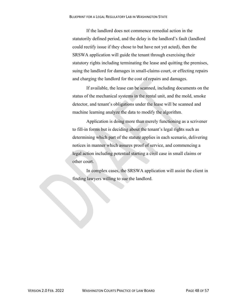If the landlord does not commence remedial action in the statutorily defined period, and the delay is the landlord's fault (landlord could rectify issue if they chose to but have not yet acted), then the SRSWA application will guide the tenant through exercising their statutory rights including terminating the lease and quitting the premises, suing the landlord for damages in small-claims court, or effecting repairs and charging the landlord for the cost of repairs and damages.

If available, the lease can be scanned, including documents on the status of the mechanical systems in the rental unit, and the mold, smoke detector, and tenant's obligations under the lease will be scanned and machine learning analyze the data to modify the algorithm.

Application is doing more than merely functioning as a scrivener to fill-in forms but is deciding about the tenant's legal rights such as determining which part of the statute applies in each scenario, delivering notices in manner which assures proof of service, and commencing a legal action including potential starting a civil case in small claims or other court.

In complex cases, the SRSWA application will assist the client in finding lawyers willing to sue the landlord.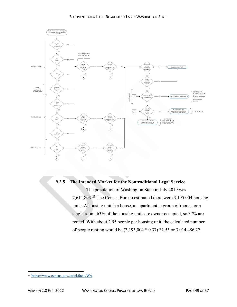

# **9.2.5 The Intended Market for the Nontraditional Legal Service**

The population of Washington State in July 2019 was 7,614,893. [23](#page-49-0) The Census Bureau estimated there were 3,195,004 housing units. A housing unit is a house, an apartment, a group of rooms, or a single room. 63% of the housing units are owner occupied, so 37% are rented. With about 2.55 people per housing unit, the calculated number of people renting would be (3,195,004 \* 0.37) \*2.55 or 3,014,486.27.

<span id="page-49-0"></span><sup>23</sup> [https://www.census.gov/quickfacts/WA.](https://www.census.gov/quickfacts/WA)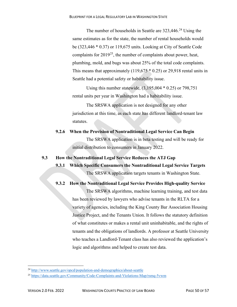The number of households in Seattle are 323,446.<sup>[24](#page-50-1)</sup> Using the same estimates as for the state, the number of rental households would be (323,446 \* 0.37) or 119,675 units. Looking at City of Seattle Code complaints for  $2019^{25}$  $2019^{25}$  $2019^{25}$ , the number of complaints about power, heat, plumbing, mold, and bugs was about 25% of the total code complaints. This means that approximately  $(119,675 * 0.25)$  or 29,918 rental units in Seattle had a potential safety or habitability issue.

Using this number statewide, (3,195,004 \* 0.25) or 798,751 rental units per year in Washington had a habitability issue.

The SRSWA application is not designed for any other jurisdiction at this time, as each state has different landlord-tenant law statutes.

**9.2.6 When the Provision of Nontraditional Legal Service Can Begin** The SRSWA application is in beta testing and will be ready for initial distribution to consumers in January 2022.

<span id="page-50-0"></span>**9.3 How the Nontraditional Legal Service Reduces the ATJ Gap**

**9.3.1 Which Specific Consumers the Nontraditional Legal Service Targets** The SRSWA application targets tenants in Washington State.

**9.3.2 How the Nontraditional Legal Service Provides High-quality Service**

The SRSWA algorithms, machine learning training, and test data has been reviewed by lawyers who advise tenants in the RLTA for a variety of agencies, including the King County Bar Association Housing Justice Project, and the Tenants Union. It follows the statutory definition of what constitutes or makes a rental unit uninhabitable, and the rights of tenants and the obligations of landlords. A professor at Seattle University who teaches a Landlord-Tenant class has also reviewed the application's logic and algorithms and helped to create test data.

<span id="page-50-1"></span><sup>24</sup> <http://www.seattle.gov/opcd/population-and-demographics/about-seattle>

<span id="page-50-2"></span><sup>25</sup> <https://data.seattle.gov/Community/Code-Complaints-and-Violations-Map/rsmq-5vwm>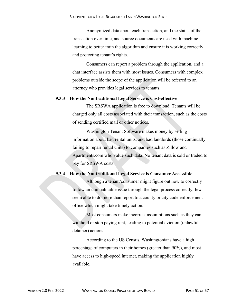Anonymized data about each transaction, and the status of the transaction over time, and source documents are used with machine learning to better train the algorithm and ensure it is working correctly and protecting tenant's rights.

Consumers can report a problem through the application, and a chat interface assists them with most issues. Consumers with complex problems outside the scope of the application will be referred to an attorney who provides legal services to tenants.

#### **9.3.3 How the Nontraditional Legal Service is Cost-effective**

The SRSWA application is free to download. Tenants will be charged only all costs associated with their transaction, such as the costs of sending certified mail or other notices.

Washington Tenant Software makes money by selling information about bad rental units, and bad landlords (those continually failing to repair rental units) to companies such as Zillow and Apartments.com who value such data. No tenant data is sold or traded to pay for SRSWA costs.

#### **9.3.4 How the Nontraditional Legal Service is Consumer Accessible**

Although a tenant/consumer might figure out how to correctly follow an uninhabitable issue through the legal process correctly, few seem able to do more than report to a county or city code enforcement office which might take timely action.

Most consumers make incorrect assumptions such as they can withhold or stop paying rent, leading to potential eviction (unlawful detainer) actions.

According to the US Census, Washingtonians have a high percentage of computers in their homes (greater than 90%), and most have access to high-speed internet, making the application highly available.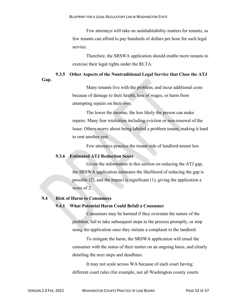Few attorneys will take on uninhabitability matters for tenants, as few tenants can afford to pay hundreds of dollars per hour for such legal service.

Therefore, the SRSWA application should enable more tenants to exercise their legal rights under the RLTA.

#### **9.3.5 Other Aspects of the Nontraditional Legal Service that Close the ATJ**

**Gap.**

Many tenants live with the problem, and incur additional costs because of damage to their health, loss of wages, or harm from attempting repairs on their own.

The lower the income, the less likely the person can make repairs. Many fear retaliation including eviction or non-renewal of the lease. Others worry about being labeled a problem tenant, making it hard to rent another unit.

Few attorneys practice the tenant side of landlord-tenant law.

#### **9.3.6 Estimated ATJ Reduction Score**

Given the information in this section on reducing the ATJ gap, the SRSWA application estimates the likelihood of reducing the gap is possible (2), and the impact is significant (1), giving the application a score of 2.

#### <span id="page-52-0"></span>**9.4 Risk of Harm to Consumers**

#### **9.4.1 What Potential Harm Could Befall a Consumer**

Consumers may be harmed if they overstate the nature of the problem, fail to take subsequent steps in the process promptly, or stop using the application once they initiate a complaint to the landlord.

To mitigate the harm, the SRSWA application will email the consumer with the status of their matter on an ongoing basis, and clearly detailing the next steps and deadlines.

It may not scale across WA because of each court having different court rules (for example, not all Washington county courts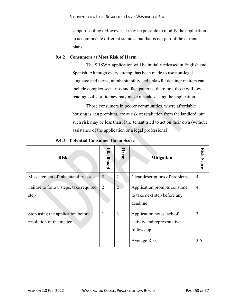support e-filing). However, it may be possible to modify the application to accommodate different statutes, but that is not part of the current plans.

#### **9.4.2 Consumers at Most Risk of Harm**

The SRSWA application will be initially released in English and Spanish. Although every attempt has been made to use non-legal language and terms, uninhabitability and unlawful detainer matters can include complex scenarios and fact patterns, therefore, those will low reading skills or literacy may make mistakes using the application.

Those consumers in poorer communities, where affordable housing is at a premium, are at risk of retaliation from the landlord, but such risk may be less than if the tenant tried to act on their own (without assistance of the application or a legal professional).

| <b>Risk</b>                                                   | Likelihood     | Harm           | <b>Mitigation</b>                                                        | <b>Risk Score</b> |
|---------------------------------------------------------------|----------------|----------------|--------------------------------------------------------------------------|-------------------|
| Misstatement of inhabitability issue                          | $\overline{2}$ | $\overline{2}$ | Clear descriptions of problems                                           | 4                 |
| Failure to follow steps, take required<br>step                | $\overline{2}$ | $\overline{2}$ | Application prompts consumer<br>to take next step before any<br>deadline | 4                 |
| Stop using the application before<br>resolution of the matter | 1              | 3              | Application notes lack of<br>activity and representative<br>follows up   | 3                 |
|                                                               |                |                | Average Risk                                                             | 3.6               |

**9.4.3 Potential Consumer Harm Score**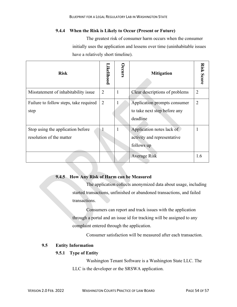#### **9.4.4 When the Risk is Likely to Occur (Present or Future)**

The greatest risk of consumer harm occurs when the consumer initially uses the application and lessens over time (uninhabitable issues have a relatively short timeline).

| <b>Risk</b>                                                   | <b>ikelihood</b> | Occurs | <b>Mitigation</b>                                                        | <b>Risk Score</b> |
|---------------------------------------------------------------|------------------|--------|--------------------------------------------------------------------------|-------------------|
| Misstatement of inhabitability issue                          | $\overline{2}$   | 1      | Clear descriptions of problems                                           | $\overline{2}$    |
| Failure to follow steps, take required<br>step                | $\overline{2}$   |        | Application prompts consumer<br>to take next step before any<br>deadline | $\overline{2}$    |
| Stop using the application before<br>resolution of the matter |                  | 1      | Application notes lack of<br>activity and representative<br>follows up   |                   |
|                                                               |                  |        | <b>Average Risk</b>                                                      | 1.6               |

#### **9.4.5 How Any Risk of Harm can be Measured**

The application collects anonymized data about usage, including started transactions, unfinished or abandoned transactions, and failed transactions.

Consumers can report and track issues with the application through a portal and an issue id for tracking will be assigned to any complaint entered through the application.

Consumer satisfaction will be measured after each transaction.

## <span id="page-54-0"></span>**9.5 Entity Information**

## **9.5.1 Type of Entity**

Washington Tenant Software is a Washington State LLC. The LLC is the developer or the SRSWA application.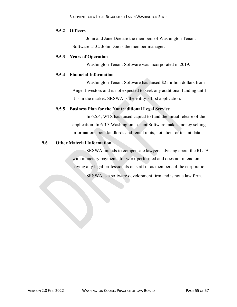## **9.5.2 Officers**

John and Jane Doe are the members of Washington Tenant Software LLC. John Doe is the member manager.

#### **9.5.3 Years of Operation**

Washington Tenant Software was incorporated in 2019.

#### **9.5.4 Financial Information**

Washington Tenant Software has raised \$2 million dollars from Angel Investors and is not expected to seek any additional funding until it is in the market. SRSWA is the entity's first application.

#### **9.5.5 Business Plan for the Nontraditional Legal Service**

In 6.5.4, WTS has raised capital to fund the initial release of the application. In 6.3.3 Washington Tenant Software makes money selling information about landlords and rental units, not client or tenant data.

## <span id="page-55-0"></span>**9.6 Other Material Information**

SRSWA intends to compensate lawyers advising about the RLTA with monetary payments for work performed and does not intend on having any legal professionals on staff or as members of the corporation.

SRSWA is a software development firm and is not a law firm.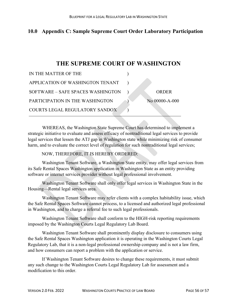# <span id="page-56-0"></span>**10.0 Appendix C: Sample Supreme Court Order Laboratory Participation**

# **THE SUPREME COURT OF WASHINGTON**

| IN THE MATTER OF THE              |                |
|-----------------------------------|----------------|
| APPLICATION OF WASHINGTON TENANT  |                |
| SOFTWARE - SAFE SPACES WASHINGTON | ORDER          |
| PARTICIPATION IN THE WASHINGTON   | No 00000-A-000 |
| COURTS LEGAL REGULATORY SANDOX    |                |

WHEREAS, the Washington State Supreme Court has determined to implement a strategic initiative to evaluate and assess efficacy of nontraditional legal services to provide legal services that lessen the ATJ gap in Washington state while minimizing risk of consumer harm, and to evaluate the correct level of regulation for such nontraditional legal services;

#### NOW, THEREFORE, IT IS HEREBY ORDERED:

Washington Tenant Software, a Washington State entity, may offer legal services from its Safe Rental Spaces Washington application in Washington State as an entity providing software or internet services provider without legal professional involvement.

Washington Tenant Software shall only offer legal services in Washington State in the Housing—Rental legal services area.

Washington Tenant Software may refer clients with a complex habitability issue, which the Safe Rental Spaces Software cannot process, to a licensed and authorized legal professional in Washington, and to charge a referral fee to such legal professionals.

Washington Tenant Software shall conform to the HIGH-risk reporting requirements imposed by the Washington Courts Legal Regulatory Lab Board.

Washington Tenant Software shall prominently display disclosure to consumers using the Safe Rental Spaces Washington application it is operating in the Washington Courts Legal Regulatory Lab, that it is a non-legal professional ownership company and is not a law firm, and how consumers can report a problem with the application or service.

If Washington Tenant Software desires to change these requirements, it must submit any such change to the Washington Courts Legal Regulatory Lab for assessment and a modification to this order.